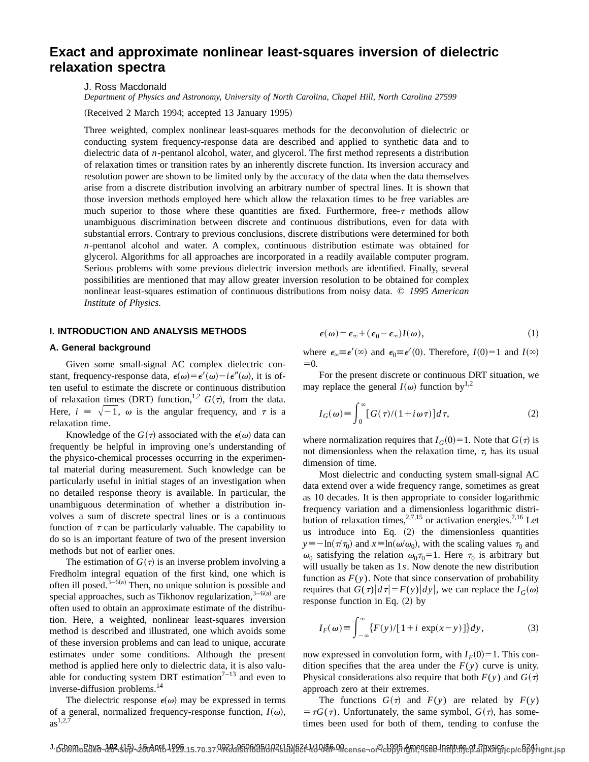# **Exact and approximate nonlinear least-squares inversion of dielectric relaxation spectra**

J. Ross Macdonald

*Department of Physics and Astronomy, University of North Carolina, Chapel Hill, North Carolina 27599*

(Received 2 March 1994; accepted 13 January 1995)

Three weighted, complex nonlinear least-squares methods for the deconvolution of dielectric or conducting system frequency-response data are described and applied to synthetic data and to dielectric data of *n*-pentanol alcohol, water, and glycerol. The first method represents a distribution of relaxation times or transition rates by an inherently discrete function. Its inversion accuracy and resolution power are shown to be limited only by the accuracy of the data when the data themselves arise from a discrete distribution involving an arbitrary number of spectral lines. It is shown that those inversion methods employed here which allow the relaxation times to be free variables are much superior to those where these quantities are fixed. Furthermore, free- $\tau$  methods allow unambiguous discrimination between discrete and continuous distributions, even for data with substantial errors. Contrary to previous conclusions, discrete distributions were determined for both *n*-pentanol alcohol and water. A complex, continuous distribution estimate was obtained for glycerol. Algorithms for all approaches are incorporated in a readily available computer program. Serious problems with some previous dielectric inversion methods are identified. Finally, several possibilities are mentioned that may allow greater inversion resolution to be obtained for complex nonlinear least-squares estimation of continuous distributions from noisy data. © *1995 American Institute of Physics.*

## **I. INTRODUCTION AND ANALYSIS METHODS**

## **A. General background**

Given some small-signal AC complex dielectric constant, frequency-response data,  $\epsilon(\omega) = \epsilon'(\omega) - i \epsilon''(\omega)$ , it is often useful to estimate the discrete or continuous distribution of relaxation times (DRT) function,<sup>1,2</sup>  $G(\tau)$ , from the data. Here,  $i = \sqrt{-1}$ ,  $\omega$  is the angular frequency, and  $\tau$  is a relaxation time.

Knowledge of the  $G(\tau)$  associated with the  $\epsilon(\omega)$  data can frequently be helpful in improving one's understanding of the physico-chemical processes occurring in the experimental material during measurement. Such knowledge can be particularly useful in initial stages of an investigation when no detailed response theory is available. In particular, the unambiguous determination of whether a distribution involves a sum of discrete spectral lines or is a continuous function of  $\tau$  can be particularly valuable. The capability to do so is an important feature of two of the present inversion methods but not of earlier ones.

The estimation of  $G(\tau)$  is an inverse problem involving a Fredholm integral equation of the first kind, one which is often ill posed. $3-6(a)$  Then, no unique solution is possible and special approaches, such as Tikhonov regularization,  $3-6(a)$  are often used to obtain an approximate estimate of the distribution. Here, a weighted, nonlinear least-squares inversion method is described and illustrated, one which avoids some of these inversion problems and can lead to unique, accurate estimates under some conditions. Although the present method is applied here only to dielectric data, it is also valuable for conducting system DRT estimation<sup> $7-13$ </sup> and even to inverse-diffusion problems.14

The dielectric response  $\epsilon(\omega)$  may be expressed in terms of a general, normalized frequency-response function,  $I(\omega)$ ,  $as^{1,2,7}$ 

$$
\boldsymbol{\epsilon}(\omega) = \boldsymbol{\epsilon}_{\infty} + (\boldsymbol{\epsilon}_0 - \boldsymbol{\epsilon}_{\infty}) I(\omega), \qquad (1)
$$

where  $\epsilon_{\infty} \equiv \epsilon'(\infty)$  and  $\epsilon_0 \equiv \epsilon'(0)$ . Therefore,  $I(0)=1$  and  $I(\infty)$  $=0$ 

For the present discrete or continuous DRT situation, we may replace the general  $I(\omega)$  function by<sup>1,2</sup>

$$
I_G(\omega) \equiv \int_0^\infty [G(\tau)/(1 + i\omega\tau)]d\tau,
$$
 (2)

where normalization requires that  $I_G(0) = 1$ . Note that  $G(\tau)$  is not dimensionless when the relaxation time,  $\tau$ , has its usual dimension of time.

Most dielectric and conducting system small-signal AC data extend over a wide frequency range, sometimes as great as 10 decades. It is then appropriate to consider logarithmic frequency variation and a dimensionless logarithmic distribution of relaxation times,  $2,7,15$  or activation energies.<sup>7,16</sup> Let us introduce into Eq.  $(2)$  the dimensionless quantities  $y \equiv -\ln(\tau/\tau_0)$  and  $x \equiv \ln(\omega/\omega_0)$ , with the scaling values  $\tau_0$  and  $\omega_0$  satisfying the relation  $\omega_0 \tau_0 = 1$ . Here  $\tau_0$  is arbitrary but will usually be taken as 1*s*. Now denote the new distribution function as  $F(y)$ . Note that since conservation of probability requires that  $G(\tau)|d\tau| = F(y)|dy|$ , we can replace the  $I_G(\omega)$ response function in Eq.  $(2)$  by

$$
I_F(\omega) \equiv \int_{-\infty}^{\infty} \{ F(y) / [1 + i \exp(x - y)] \} dy, \tag{3}
$$

now expressed in convolution form, with  $I_F(0)=1$ . This condition specifies that the area under the  $F(y)$  curve is unity. Physical considerations also require that both  $F(y)$  and  $G(\tau)$ approach zero at their extremes.

The functions  $G(\tau)$  and  $F(y)$  are related by  $F(y)$  $= \tau G(\tau)$ . Unfortunately, the same symbol,  $G(\tau)$ , has sometimes been used for both of them, tending to confuse the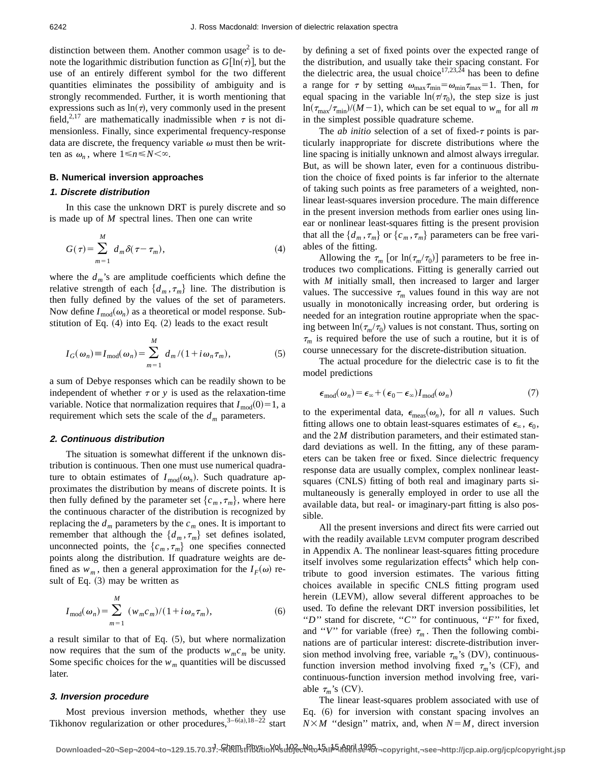distinction between them. Another common usage<sup>2</sup> is to denote the logarithmic distribution function as  $G[\ln(\tau)]$ , but the use of an entirely different symbol for the two different quantities eliminates the possibility of ambiguity and is strongly recommended. Further, it is worth mentioning that expressions such as  $ln(\tau)$ , very commonly used in the present field,<sup>2,17</sup> are mathematically inadmissible when  $\tau$  is not dimensionless. Finally, since experimental frequency-response data are discrete, the frequency variable  $\omega$  must then be written as  $\omega_n$ , where  $1 \le n \le N < \infty$ .

#### **B. Numerical inversion approaches**

#### **1. Discrete distribution**

In this case the unknown DRT is purely discrete and so is made up of *M* spectral lines. Then one can write

$$
G(\tau) = \sum_{m=1}^{M} d_m \delta(\tau - \tau_m), \qquad (4)
$$

where the  $d_m$ 's are amplitude coefficients which define the relative strength of each  $\{d_m, \tau_m\}$  line. The distribution is then fully defined by the values of the set of parameters. Now define  $I_{\text{mod}}(\omega_n)$  as a theoretical or model response. Substitution of Eq.  $(4)$  into Eq.  $(2)$  leads to the exact result

$$
I_G(\omega_n) \equiv I_{\text{mod}}(\omega_n) = \sum_{m=1}^M d_m / (1 + i \omega_n \tau_m), \tag{5}
$$

a sum of Debye responses which can be readily shown to be independent of whether  $\tau$  or  $\gamma$  is used as the relaxation-time variable. Notice that normalization requires that  $I_{\text{mod}}(0) = 1$ , a requirement which sets the scale of the  $d_m$  parameters.

## **2. Continuous distribution**

The situation is somewhat different if the unknown distribution is continuous. Then one must use numerical quadrature to obtain estimates of  $I_{\text{mod}}(\omega_n)$ . Such quadrature approximates the distribution by means of discrete points. It is then fully defined by the parameter set  $\{c_m, \tau_m\}$ , where here the continuous character of the distribution is recognized by replacing the  $d_m$  parameters by the  $c_m$  ones. It is important to remember that although the  $\{d_m, \tau_m\}$  set defines isolated, unconnected points, the  $\{c_m, \tau_m\}$  one specifies connected points along the distribution. If quadrature weights are defined as  $w_m$ , then a general approximation for the  $I_F(\omega)$  result of Eq.  $(3)$  may be written as

$$
I_{\text{mod}}(\omega_n) = \sum_{m=1}^{M} (w_m c_m) / (1 + i \omega_n \tau_m),
$$
 (6)

a result similar to that of Eq.  $(5)$ , but where normalization now requires that the sum of the products  $w_m c_m$  be unity. Some specific choices for the  $w_m$  quantities will be discussed later.

#### **3. Inversion procedure**

Most previous inversion methods, whether they use Tikhonov regularization or other procedures,  $3-6(a),18-22$  start by defining a set of fixed points over the expected range of the distribution, and usually take their spacing constant. For the dielectric area, the usual choice<sup>17,23,24</sup> has been to define a range for  $\tau$  by setting  $\omega_{\text{max}}\tau_{\text{min}}=\omega_{\text{min}}\tau_{\text{max}}=1$ . Then, for equal spacing in the variable  $ln(\tau/\tau_0)$ , the step size is just  $\ln(\tau_{\text{max}}/\tau_{\text{min}})/(M-1)$ , which can be set equal to  $w_m$  for all *m* in the simplest possible quadrature scheme.

The *ab initio* selection of a set of fixed- $\tau$  points is particularly inappropriate for discrete distributions where the line spacing is initially unknown and almost always irregular. But, as will be shown later, even for a continuous distribution the choice of fixed points is far inferior to the alternate of taking such points as free parameters of a weighted, nonlinear least-squares inversion procedure. The main difference in the present inversion methods from earlier ones using linear or nonlinear least-squares fitting is the present provision that all the  $\{d_m, \tau_m\}$  or  $\{c_m, \tau_m\}$  parameters can be free variables of the fitting.

Allowing the  $\tau_m$  [or ln( $\tau_m/\tau_0$ )] parameters to be free introduces two complications. Fitting is generally carried out with *M* initially small, then increased to larger and larger values. The successive  $\tau_m$  values found in this way are not usually in monotonically increasing order, but ordering is needed for an integration routine appropriate when the spacing between  $\ln(\tau_m/\tau_0)$  values is not constant. Thus, sorting on  $\tau_m$  is required before the use of such a routine, but it is of course unnecessary for the discrete-distribution situation.

The actual procedure for the dielectric case is to fit the model predictions

$$
\epsilon_{\text{mod}}(\omega_n) = \epsilon_{\infty} + (\epsilon_0 - \epsilon_{\infty}) I_{\text{mod}}(\omega_n)
$$
\n(7)

to the experimental data,  $\epsilon_{\text{meas}}(\omega_n)$ , for all *n* values. Such fitting allows one to obtain least-squares estimates of  $\epsilon_{\infty}$ ,  $\epsilon_0$ , and the 2*M* distribution parameters, and their estimated standard deviations as well. In the fitting, any of these parameters can be taken free or fixed. Since dielectric frequency response data are usually complex, complex nonlinear leastsquares (CNLS) fitting of both real and imaginary parts simultaneously is generally employed in order to use all the available data, but real- or imaginary-part fitting is also possible.

All the present inversions and direct fits were carried out with the readily available LEVM computer program described in Appendix A. The nonlinear least-squares fitting procedure itself involves some regularization effects<sup>4</sup> which help contribute to good inversion estimates. The various fitting choices available in specific CNLS fitting program used herein (LEVM), allow several different approaches to be used. To define the relevant DRT inversion possibilities, let "*D*" stand for discrete, "*C*" for continuous, "*F*" for fixed, and "*V*" for variable (free)  $\tau_m$ . Then the following combinations are of particular interest: discrete-distribution inversion method involving free, variable  $\tau_m$ 's (DV), continuousfunction inversion method involving fixed  $\tau_m$ 's (CF), and continuous-function inversion method involving free, variable  $\tau_m$ 's (CV).

The linear least-squares problem associated with use of Eq.  $(6)$  for inversion with constant spacing involves an  $N \times M$  "design" matrix, and, when  $N=M$ , direct inversion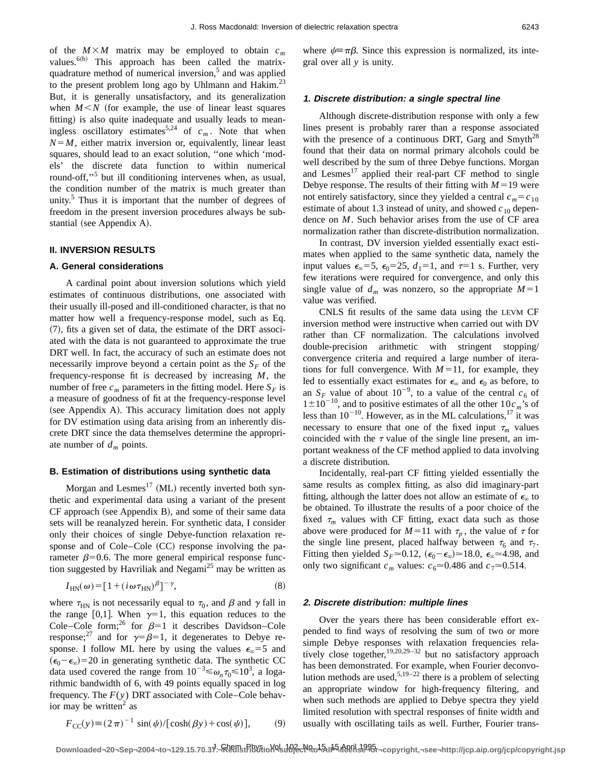of the  $M \times M$  matrix may be employed to obtain  $c_m$ values. $^{6(b)}$  This approach has been called the matrixquadrature method of numerical inversion, $5$  and was applied to the present problem long ago by Uhlmann and Hakim. $^{23}$ But, it is generally unsatisfactory, and its generalization when  $M \leq N$  (for example, the use of linear least squares fitting) is also quite inadequate and usually leads to meaningless oscillatory estimates<sup>5,24</sup> of  $c_m$ . Note that when  $N=M$ , either matrix inversion or, equivalently, linear least squares, should lead to an exact solution, ''one which 'models' the discrete data function to within numerical round-off,"<sup>5</sup> but ill conditioning intervenes when, as usual, the condition number of the matrix is much greater than unity. $5$  Thus it is important that the number of degrees of freedom in the present inversion procedures always be substantial (see Appendix A).

#### **II. INVERSION RESULTS**

#### **A. General considerations**

A cardinal point about inversion solutions which yield estimates of continuous distributions, one associated with their usually ill-posed and ill-conditioned character, is that no matter how well a frequency-response model, such as Eq.  $(7)$ , fits a given set of data, the estimate of the DRT associated with the data is not guaranteed to approximate the true DRT well. In fact, the accuracy of such an estimate does not necessarily improve beyond a certain point as the  $S_F$  of the frequency-response fit is decreased by increasing *M*, the number of free  $c_m$  parameters in the fitting model. Here  $S_F$  is a measure of goodness of fit at the frequency-response level (see Appendix A). This accuracy limitation does not apply for DV estimation using data arising from an inherently discrete DRT since the data themselves determine the appropriate number of  $d_m$  points.

#### **B. Estimation of distributions using synthetic data**

Morgan and Lesmes<sup>17</sup> (ML) recently inverted both synthetic and experimental data using a variant of the present  $CF$  approach (see Appendix B), and some of their same data sets will be reanalyzed herein. For synthetic data, I consider only their choices of single Debye-function relaxation response and of Cole–Cole  $(CC)$  response involving the parameter  $\beta$ =0.6. The more general empirical response function suggested by Havriliak and Negami<sup>25</sup> may be written as

$$
I_{HN}(\omega) = [1 + (i\omega\tau_{HN})^{\beta}]^{-\gamma},\tag{8}
$$

where  $\tau_{HN}$  is not necessarily equal to  $\tau_0$ , and  $\beta$  and  $\gamma$  fall in the range [0,1]. When  $\gamma=1$ , this equation reduces to the Cole–Cole form;<sup>26</sup> for  $\beta=1$  it describes Davidson–Cole response;<sup>27</sup> and for  $\gamma = \beta = 1$ , it degenerates to Debye response. I follow ML here by using the values  $\epsilon_{\infty} = 5$  and  $(\epsilon_0 - \epsilon_\infty) = 20$  in generating synthetic data. The synthetic CC data used covered the range from  $10^{-3} \le \omega_n \tau_0 \le 10^3$ , a logarithmic bandwidth of 6, with 49 points equally spaced in log frequency. The *F*(*y*) DRT associated with Cole–Cole behavior may be written $2$  as

$$
F_{\rm CC}(y) \equiv (2\pi)^{-1} \sin(\psi) / [\cosh(\beta y) + \cos(\psi)],\tag{9}
$$

where  $\psi \equiv \pi \beta$ . Since this expression is normalized, its integral over all *y* is unity.

## **1. Discrete distribution: <sup>a</sup> single spectral line**

Although discrete-distribution response with only a few lines present is probably rarer than a response associated with the presence of a continuous DRT, Garg and  $Smyth^{28}$ found that their data on normal primary alcohols could be well described by the sum of three Debye functions. Morgan and Lesmes<sup>17</sup> applied their real-part CF method to single Debye response. The results of their fitting with  $M=19$  were not entirely satisfactory, since they yielded a central  $c_m = c_{10}$ estimate of about 1.3 instead of unity, and showed  $c_{10}$  dependence on *M*. Such behavior arises from the use of CF area normalization rather than discrete-distribution normalization.

In contrast, DV inversion yielded essentially exact estimates when applied to the same synthetic data, namely the input values  $\epsilon_{0}=5$ ,  $\epsilon_{0}=25$ ,  $d_1=1$ , and  $\tau=1$  s. Further, very few iterations were required for convergence, and only this single value of  $d_m$  was nonzero, so the appropriate  $M=1$ value was verified.

CNLS fit results of the same data using the LEVM CF inversion method were instructive when carried out with DV rather than CF normalization. The calculations involved double-precision arithmetic with stringent stopping/ convergence criteria and required a large number of iterations for full convergence. With  $M=11$ , for example, they led to essentially exact estimates for  $\epsilon_{\infty}$  and  $\epsilon_0$  as before, to an  $S_F$  value of about 10<sup>-9</sup>, to a value of the central  $c_6$  of  $1\pm10^{-10}$ , and to positive estimates of all the other  $10c_m$ 's of less than  $10^{-10}$ . However, as in the ML calculations,<sup>17</sup> it was necessary to ensure that one of the fixed input  $\tau_m$  values coincided with the  $\tau$  value of the single line present, an important weakness of the CF method applied to data involving a discrete distribution.

Incidentally, real-part CF fitting yielded essentially the same results as complex fitting, as also did imaginary-part fitting, although the latter does not allow an estimate of  $\epsilon_{\infty}$  to be obtained. To illustrate the results of a poor choice of the fixed  $\tau_m$  values with CF fitting, exact data such as those above were produced for  $M=11$  with  $\tau_p$ , the value of  $\tau$  for the single line present, placed halfway between  $\tau_6$  and  $\tau_7$ . Fitting then yielded  $S_F \approx 0.12$ ,  $({\epsilon_0 - \epsilon_\infty}) \approx 18.0$ ,  ${\epsilon_\infty} \approx 4.98$ , and only two significant  $c_m$  values:  $c_6 \approx 0.486$  and  $c_7 \approx 0.514$ .

#### **2. Discrete distribution: multiple lines**

Over the years there has been considerable effort expended to find ways of resolving the sum of two or more simple Debye responses with relaxation frequencies relatively close together,<sup>19,20,29-32</sup> but no satisfactory approach has been demonstrated. For example, when Fourier deconvolution methods are used,  $5.19-22$  there is a problem of selecting an appropriate window for high-frequency filtering, and when such methods are applied to Debye spectra they yield limited resolution with spectral responses of finite width and usually with oscillating tails as well. Further, Fourier trans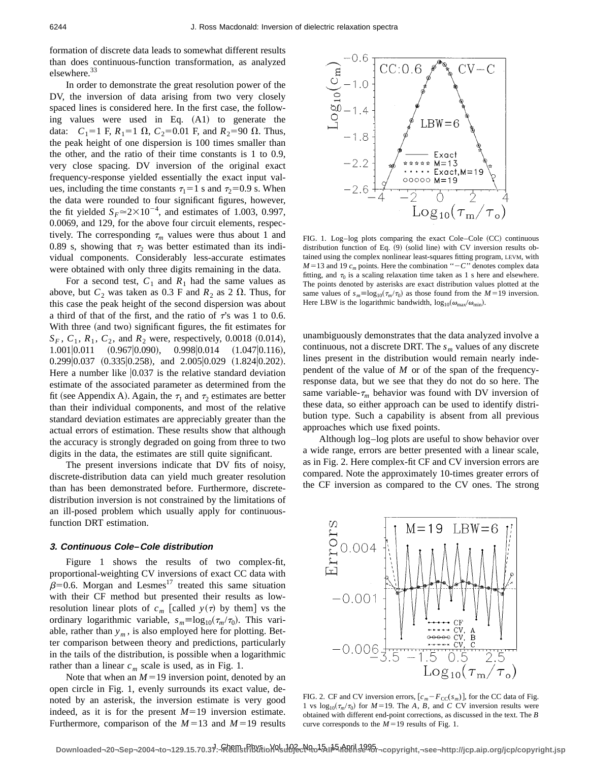formation of discrete data leads to somewhat different results than does continuous-function transformation, as analyzed elsewhere.<sup>33</sup>

In order to demonstrate the great resolution power of the DV, the inversion of data arising from two very closely spaced lines is considered here. In the first case, the following values were used in Eq.  $(A1)$  to generate the data:  $C_1 = 1$  F,  $R_1 = 1$   $\Omega$ ,  $C_2 = 0.01$  F, and  $R_2 = 90$   $\Omega$ . Thus, the peak height of one dispersion is 100 times smaller than the other, and the ratio of their time constants is 1 to 0.9, very close spacing. DV inversion of the original exact frequency-response yielded essentially the exact input values, including the time constants  $\tau_1=1$  s and  $\tau_2=0.9$  s. When the data were rounded to four significant figures, however, the fit yielded  $S_F \approx 2 \times 10^{-4}$ , and estimates of 1.003, 0.997, 0.0069, and 129, for the above four circuit elements, respectively. The corresponding  $\tau_m$  values were thus about 1 and 0.89 s, showing that  $\tau_2$  was better estimated than its individual components. Considerably less-accurate estimates were obtained with only three digits remaining in the data.

For a second test,  $C_1$  and  $R_1$  had the same values as above, but  $C_2$  was taken as 0.3 F and  $R_2$  as 2  $\Omega$ . Thus, for this case the peak height of the second dispersion was about a third of that of the first, and the ratio of  $\tau$ 's was 1 to 0.6. With three (and two) significant figures, the fit estimates for  $S_F$ ,  $C_1$ ,  $R_1$ ,  $C_2$ , and  $R_2$  were, respectively, 0.0018 (0.014),  $1.001|0.011$   $(0.967|0.090)$ ,  $0.998|0.014$   $(1.047|0.116)$ ,  $0.299|0.037$   $(0.335|0.258)$ , and  $2.005|0.029$   $(1.824|0.202)$ . Here a number like  $|0.037|$  is the relative standard deviation estimate of the associated parameter as determined from the fit (see Appendix A). Again, the  $\tau_1$  and  $\tau_2$  estimates are better than their individual components, and most of the relative standard deviation estimates are appreciably greater than the actual errors of estimation. These results show that although the accuracy is strongly degraded on going from three to two digits in the data, the estimates are still quite significant.

The present inversions indicate that DV fits of noisy, discrete-distribution data can yield much greater resolution than has been demonstrated before. Furthermore, discretedistribution inversion is not constrained by the limitations of an ill-posed problem which usually apply for continuousfunction DRT estimation.

### **3. Continuous Cole–Cole distribution**

Figure 1 shows the results of two complex-fit, proportional-weighting CV inversions of exact CC data with  $\beta$ =0.6. Morgan and Lesmes<sup>17</sup> treated this same situation with their CF method but presented their results as lowresolution linear plots of  $c_m$  [called  $y(\tau)$  by them] vs the ordinary logarithmic variable,  $s_m \equiv \log_{10}(\tau_m/\tau_0)$ . This variable, rather than  $y_m$ , is also employed here for plotting. Better comparison between theory and predictions, particularly in the tails of the distribution, is possible when a logarithmic rather than a linear  $c_m$  scale is used, as in Fig. 1.

Note that when an  $M=19$  inversion point, denoted by an open circle in Fig. 1, evenly surrounds its exact value, denoted by an asterisk, the inversion estimate is very good indeed, as it is for the present  $M=19$  inversion estimate. Furthermore, comparison of the  $M=13$  and  $M=19$  results



FIG. 1. Log-log plots comparing the exact Cole–Cole (CC) continuous distribution function of Eq.  $(9)$  (solid line) with CV inversion results obtained using the complex nonlinear least-squares fitting program, LEVM, with  $M=13$  and 19  $c_m$  points. Here the combination " $-C$ " denotes complex data fitting, and  $\tau_0$  is a scaling relaxation time taken as 1 s here and elsewhere. The points denoted by asterisks are exact distribution values plotted at the same values of  $s_m \equiv \log_{10}(\tau_m/\tau_0)$  as those found from the  $M=19$  inversion. Here LBW is the logarithmic bandwidth,  $\log_{10}(\omega_{\text{max}}/\omega_{\text{min}})$ .

unambiguously demonstrates that the data analyzed involve a continuous, not a discrete DRT. The  $s_m$  values of any discrete lines present in the distribution would remain nearly independent of the value of *M* or of the span of the frequencyresponse data, but we see that they do not do so here. The same variable- $\tau_m$  behavior was found with DV inversion of these data, so either approach can be used to identify distribution type. Such a capability is absent from all previous approaches which use fixed points.

Although log–log plots are useful to show behavior over a wide range, errors are better presented with a linear scale, as in Fig. 2. Here complex-fit CF and CV inversion errors are compared. Note the approximately 10-times greater errors of the CF inversion as compared to the CV ones. The strong



FIG. 2. CF and CV inversion errors,  $[c_m - F_{CC}(s_m)]$ , for the CC data of Fig. 1 vs  $\log_{10}(\tau_m/\tau_0)$  for  $M=19$ . The *A*, *B*, and *C* CV inversion results were obtained with different end-point corrections, as discussed in the text. The *B* curve corresponds to the  $M=19$  results of Fig. 1.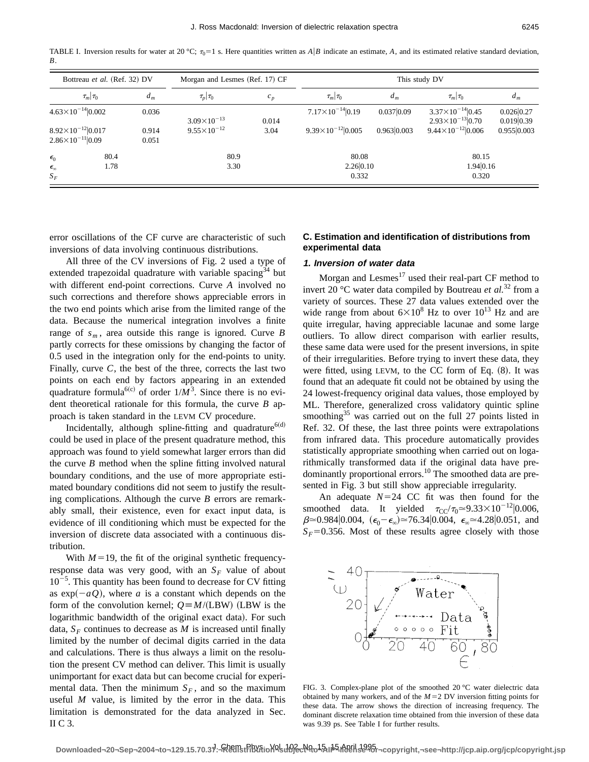TABLE I. Inversion results for water at 20 °C;  $\tau_0=1$  s. Here quantities written as *A*|*B* indicate an estimate, *A*, and its estimated relative standard deviation, *B*.

| Bottreau et al. (Ref. 32) DV                                 |                | Morgan and Lesmes (Ref. 17) CF |       | This study DV                  |            |                                                          |                          |
|--------------------------------------------------------------|----------------|--------------------------------|-------|--------------------------------|------------|----------------------------------------------------------|--------------------------|
| $\tau_m \tau_0 $                                             | $d_m$          | $\tau_p \tau_0 $               | $c_p$ | $\tau_m \tau_0$                | $d_m$      | $\tau_m \tau_0 $                                         | $d_m$                    |
| $4.63\times10^{-14}$  0.002                                  | 0.036          | $3.09\times10^{-13}$           | 0.014 | $7.17\times10^{-14}$  0.19     | 0.037 0.09 | $3.37\times10^{-14}$  0.45<br>$2.93\times10^{-13}$  0.70 | 0.026 0.27<br>0.019 0.39 |
| $8.92\times10^{-12}$  0.017<br>$2.86\times10^{-11}$  0.09    | 0.914<br>0.051 | $9.55 \times 10^{-12}$         | 3.04  | $9.39 \times 10^{-12}   0.005$ | 0.9630.003 | $9.44\times10^{-12}$  0.006                              | 0.955 0.003              |
| 80.4<br>$\epsilon_0$<br>1.78<br>$\epsilon_{\infty}$<br>$S_F$ |                | 80.9<br>3.30                   |       | 80.08<br>2.26 0.10<br>0.332    |            | 80.15<br>1.94 0.16<br>0.320                              |                          |

error oscillations of the CF curve are characteristic of such inversions of data involving continuous distributions.

All three of the CV inversions of Fig. 2 used a type of extended trapezoidal quadrature with variable spacing<sup>34</sup> but with different end-point corrections. Curve *A* involved no such corrections and therefore shows appreciable errors in the two end points which arise from the limited range of the data. Because the numerical integration involves a finite range of  $s_m$ , area outside this range is ignored. Curve *B* partly corrects for these omissions by changing the factor of 0.5 used in the integration only for the end-points to unity. Finally, curve *C*, the best of the three, corrects the last two points on each end by factors appearing in an extended quadrature formula<sup>6(c)</sup> of order  $1/M^3$ . Since there is no evident theoretical rationale for this formula, the curve *B* approach is taken standard in the LEVM CV procedure.

Incidentally, although spline-fitting and quadrature<sup> $6(d)$ </sup> could be used in place of the present quadrature method, this approach was found to yield somewhat larger errors than did the curve *B* method when the spline fitting involved natural boundary conditions, and the use of more appropriate estimated boundary conditions did not seem to justify the resulting complications. Although the curve *B* errors are remarkably small, their existence, even for exact input data, is evidence of ill conditioning which must be expected for the inversion of discrete data associated with a continuous distribution.

With  $M=19$ , the fit of the original synthetic frequencyresponse data was very good, with an  $S_F$  value of about  $10^{-5}$ . This quantity has been found to decrease for CV fitting as  $exp(-aQ)$ , where *a* is a constant which depends on the form of the convolution kernel;  $Q = M/(LBW)$  (LBW is the logarithmic bandwidth of the original exact data). For such data,  $S_F$  continues to decrease as *M* is increased until finally limited by the number of decimal digits carried in the data and calculations. There is thus always a limit on the resolution the present CV method can deliver. This limit is usually unimportant for exact data but can become crucial for experimental data. Then the minimum  $S_F$ , and so the maximum useful *M* value, is limited by the error in the data. This limitation is demonstrated for the data analyzed in Sec. II C 3.

# **C. Estimation and identification of distributions from experimental data**

# **1. Inversion of water data**

Morgan and Lesmes $17$  used their real-part CF method to invert 20 °C water data compiled by Boutreau *et al.*<sup>32</sup> from a variety of sources. These 27 data values extended over the wide range from about  $6\times10^8$  Hz to over  $10^{13}$  Hz and are quite irregular, having appreciable lacunae and some large outliers. To allow direct comparison with earlier results, these same data were used for the present inversions, in spite of their irregularities. Before trying to invert these data, they were fitted, using LEVM, to the CC form of Eq.  $(8)$ . It was found that an adequate fit could not be obtained by using the 24 lowest-frequency original data values, those employed by ML. Therefore, generalized cross validatory quintic spline smoothing<sup>35</sup> was carried out on the full 27 points listed in Ref. 32. Of these, the last three points were extrapolations from infrared data. This procedure automatically provides statistically appropriate smoothing when carried out on logarithmically transformed data if the original data have predominantly proportional errors.<sup>10</sup> The smoothed data are presented in Fig. 3 but still show appreciable irregularity.

An adequate  $N=24$  CC fit was then found for the smoothed data. It yielded  $\tau_{CC}/\tau_0 \approx 9.33 \times 10^{-12} |0.006$ ,  $\beta \approx 0.984|0.004, (\epsilon_0 - \epsilon_\infty) \approx 76.34|0.004, \epsilon_\infty \approx 4.28|0.051, \text{ and}$  $S_F$ =0.356. Most of these results agree closely with those



FIG. 3. Complex-plane plot of the smoothed 20 °C water dielectric data obtained by many workers, and of the  $M=2$  DV inversion fitting points for these data. The arrow shows the direction of increasing frequency. The dominant discrete relaxation time obtained from thie inversion of these data was 9.39 ps. See Table I for further results.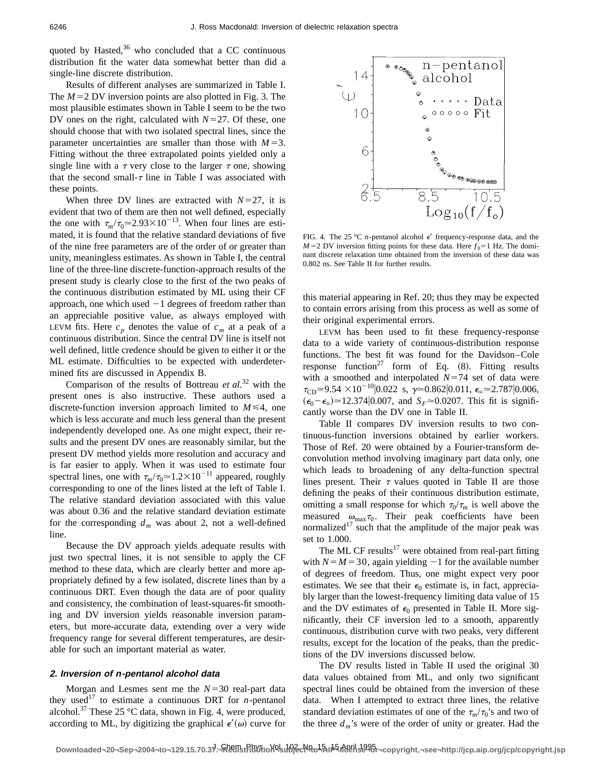quoted by Hasted, $36$  who concluded that a CC continuous distribution fit the water data somewhat better than did a single-line discrete distribution.

Results of different analyses are summarized in Table I. The  $M=2$  DV inversion points are also plotted in Fig. 3. The most plausible estimates shown in Table I seem to be the two DV ones on the right, calculated with  $N=27$ . Of these, one should choose that with two isolated spectral lines, since the parameter uncertainties are smaller than those with  $M=3$ . Fitting without the three extrapolated points yielded only a single line with a  $\tau$  very close to the larger  $\tau$  one, showing that the second small- $\tau$  line in Table I was associated with these points.

When three DV lines are extracted with  $N=27$ , it is evident that two of them are then not well defined, especially the one with  $\tau_m/\tau_0 \approx 2.93 \times 10^{-13}$ . When four lines are estimated, it is found that the relative standard deviations of five of the nine free parameters are of the order of or greater than unity, meaningless estimates. As shown in Table I, the central line of the three-line discrete-function-approach results of the present study is clearly close to the first of the two peaks of the continuous distribution estimated by ML using their CF approach, one which used  $-1$  degrees of freedom rather than an appreciable positive value, as always employed with LEVM fits. Here  $c_p$  denotes the value of  $c_m$  at a peak of a continuous distribution. Since the central DV line is itself not well defined, little credence should be given to either it or the ML estimate. Difficulties to be expected with underdetermined fits are discussed in Appendix B.

Comparison of the results of Bottreau *et al.*<sup>32</sup> with the present ones is also instructive. These authors used a discrete-function inversion approach limited to  $M \leq 4$ , one which is less accurate and much less general than the present independently developed one. As one might expect, their results and the present DV ones are reasonably similar, but the present DV method yields more resolution and accuracy and is far easier to apply. When it was used to estimate four spectral lines, one with  $\tau_m/\tau_0 \approx 1.2 \times 10^{-11}$  appeared, roughly corresponding to one of the lines listed at the left of Table I. The relative standard deviation associated with this value was about 0.36 and the relative standard deviation estimate for the corresponding  $d_m$  was about 2, not a well-defined line.

Because the DV approach yields adequate results with just two spectral lines, it is not sensible to apply the CF method to these data, which are clearly better and more appropriately defined by a few isolated, discrete lines than by a continuous DRT. Even though the data are of poor quality and consistency, the combination of least-squares-fit smoothing and DV inversion yields reasonable inversion parameters, but more-accurate data, extending over a very wide frequency range for several different temperatures, are desirable for such an important material as water.

## **2. Inversion of n-pentanol alcohol data**

Morgan and Lesmes sent me the  $N=30$  real-part data they used<sup>17</sup> to estimate a continuous DRT for *n*-pentanol alcohol.<sup>37</sup> These 25 °C data, shown in Fig. 4, were produced, according to ML, by digitizing the graphical  $\epsilon'(\omega)$  curve for



FIG. 4. The 25 °C  $n$ -pentanol alcohol  $\epsilon'$  frequency-response data, and the  $M=2$  DV inversion fitting points for these data. Here  $f_0=1$  Hz. The dominant discrete relaxation time obtained from the inversion of these data was 0.802 ns. See Table II for further results.

this material appearing in Ref. 20; thus they may be expected to contain errors arising from this process as well as some of their original experimental errors.

LEVM has been used to fit these frequency-response data to a wide variety of continuous-distribution response functions. The best fit was found for the Davidson–Cole response function<sup>27</sup> form of Eq.  $(8)$ . Fitting results with a smoothed and interpolated  $N=74$  set of data were  $\tau_{CD} \approx 9.54 \times 10^{-10} |0.022 \text{ s}, \gamma \approx 0.862 |0.011, \epsilon_{\infty} \approx 2.787 |0.006,$  $(\epsilon_0 - \epsilon_\infty) \approx 12.374 \, | 0.007$ , and  $S_F \approx 0.0207$ . This fit is significantly worse than the DV one in Table II.

Table II compares DV inversion results to two continuous-function inversions obtained by earlier workers. Those of Ref. 20 were obtained by a Fourier-transform deconvolution method involving imaginary part data only, one which leads to broadening of any delta-function spectral lines present. Their  $\tau$  values quoted in Table II are those defining the peaks of their continuous distribution estimate, omitting a small response for which  $\tau_0/\tau_m$  is well above the measured  $\omega_{\text{max}}\tau_0$ . Their peak coefficients have been normalized<sup>17</sup> such that the amplitude of the major peak was set to 1.000.

The ML CF results<sup>17</sup> were obtained from real-part fitting with  $N = M = 30$ , again yielding  $-1$  for the available number of degrees of freedom. Thus, one might expect very poor estimates. We see that their  $\epsilon_0$  estimate is, in fact, appreciably larger than the lowest-frequency limiting data value of 15 and the DV estimates of  $\epsilon_0$  presented in Table II. More significantly, their CF inversion led to a smooth, apparently continuous, distribution curve with two peaks, very different results, except for the location of the peaks, than the predictions of the DV inversions discussed below.

The DV results listed in Table II used the original 30 data values obtained from ML, and only two significant spectral lines could be obtained from the inversion of these data. When I attempted to extract three lines, the relative standard deviation estimates of one of the  $\tau_m/\tau_0$ 's and two of the three  $d_m$ 's were of the order of unity or greater. Had the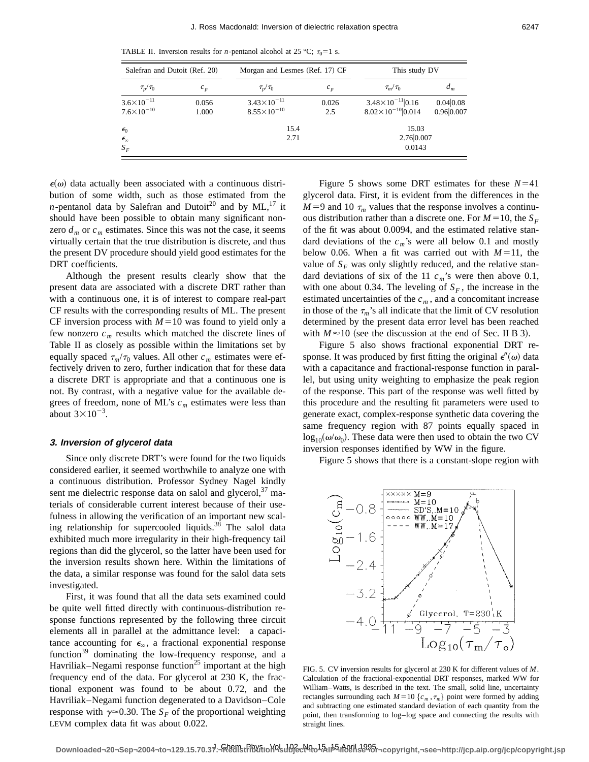TABLE II. Inversion results for *n*-pentanol alcohol at 25 °C;  $\tau_0=1$  s.

| Salefran and Dutoit (Ref. 20)                  |                | Morgan and Lesmes (Ref. 17) CF                   |              | This study DV                                             |                         |  |
|------------------------------------------------|----------------|--------------------------------------------------|--------------|-----------------------------------------------------------|-------------------------|--|
| $\tau_p/\tau_0$                                | $c_p$          | $\tau_p/\tau_0$                                  | $c_p$        | $\tau_m/\tau_0$                                           | $a_m$                   |  |
| $3.6 \times 10^{-11}$<br>$7.6 \times 10^{-10}$ | 0.056<br>1.000 | $3.43 \times 10^{-11}$<br>$8.55 \times 10^{-10}$ | 0.026<br>2.5 | $3.48\times10^{-11}$  0.16<br>$8.02\times10^{-10}$  0.014 | 0.04 0.08<br>0.96 0.007 |  |
| $\epsilon_0$<br>$\epsilon_{\infty}$<br>$S_F$   |                | 15.4<br>2.71                                     |              | 15.03<br>2.76 0.007<br>0.0143                             |                         |  |

 $\epsilon(\omega)$  data actually been associated with a continuous distribution of some width, such as those estimated from the *n*-pentanol data by Salefran and Dutoit<sup>20</sup> and by ML,<sup>17</sup> it should have been possible to obtain many significant nonzero  $d_m$  or  $c_m$  estimates. Since this was not the case, it seems virtually certain that the true distribution is discrete, and thus the present DV procedure should yield good estimates for the DRT coefficients.

Although the present results clearly show that the present data are associated with a discrete DRT rather than with a continuous one, it is of interest to compare real-part CF results with the corresponding results of ML. The present CF inversion process with  $M=10$  was found to yield only a few nonzero  $c_m$  results which matched the discrete lines of Table II as closely as possible within the limitations set by equally spaced  $\tau_m/\tau_0$  values. All other  $c_m$  estimates were effectively driven to zero, further indication that for these data a discrete DRT is appropriate and that a continuous one is not. By contrast, with a negative value for the available degrees of freedom, none of ML's  $c_m$  estimates were less than about  $3 \times 10^{-3}$ .

## **3. Inversion of glycerol data**

Since only discrete DRT's were found for the two liquids considered earlier, it seemed worthwhile to analyze one with a continuous distribution. Professor Sydney Nagel kindly sent me dielectric response data on salol and glycerol,  $37 \text{ ma}$ terials of considerable current interest because of their usefulness in allowing the verification of an important new scaling relationship for supercooled liquids.<sup>38</sup> The salol data exhibited much more irregularity in their high-frequency tail regions than did the glycerol, so the latter have been used for the inversion results shown here. Within the limitations of the data, a similar response was found for the salol data sets investigated.

First, it was found that all the data sets examined could be quite well fitted directly with continuous-distribution response functions represented by the following three circuit elements all in parallel at the admittance level: a capacitance accounting for  $\epsilon_{\infty}$ , a fractional exponential response function $39$  dominating the low-frequency response, and a Havriliak–Negami response function<sup>25</sup> important at the high frequency end of the data. For glycerol at 230 K, the fractional exponent was found to be about 0.72, and the Havriliak–Negami function degenerated to a Davidson–Cole response with  $\gamma \approx 0.30$ . The *S<sub>F</sub>* of the proportional weighting LEVM complex data fit was about 0.022.

Figure 5 shows some DRT estimates for these  $N=41$ glycerol data. First, it is evident from the differences in the  $M=9$  and 10  $\tau_m$  values that the response involves a continuous distribution rather than a discrete one. For  $M=10$ , the  $S_F$ of the fit was about 0.0094, and the estimated relative standard deviations of the  $c_m$ 's were all below 0.1 and mostly below 0.06. When a fit was carried out with  $M=11$ , the value of  $S_F$  was only slightly reduced, and the relative standard deviations of six of the 11  $c_m$ 's were then above 0.1, with one about 0.34. The leveling of  $S_F$ , the increase in the estimated uncertainties of the  $c_m$ , and a concomitant increase in those of the  $\tau_m$ 's all indicate that the limit of CV resolution determined by the present data error level has been reached with  $M \approx 10$  (see the discussion at the end of Sec. II B 3).

Figure 5 also shows fractional exponential DRT response. It was produced by first fitting the original  $\epsilon''(\omega)$  data with a capacitance and fractional-response function in parallel, but using unity weighting to emphasize the peak region of the response. This part of the response was well fitted by this procedure and the resulting fit parameters were used to generate exact, complex-response synthetic data covering the same frequency region with 87 points equally spaced in  $\log_{10}(\omega/\omega_0)$ . These data were then used to obtain the two CV inversion responses identified by WW in the figure.

Figure 5 shows that there is a constant-slope region with



FIG. 5. CV inversion results for glycerol at 230 K for different values of *M*. Calculation of the fractional-exponential DRT responses, marked WW for William–Watts, is described in the text. The small, solid line, uncertainty rectangles surrounding each  $M=10 \{c_m, \tau_m\}$  point were formed by adding and subtracting one estimated standard deviation of each quantity from the point, then transforming to log–log space and connecting the results with straight lines.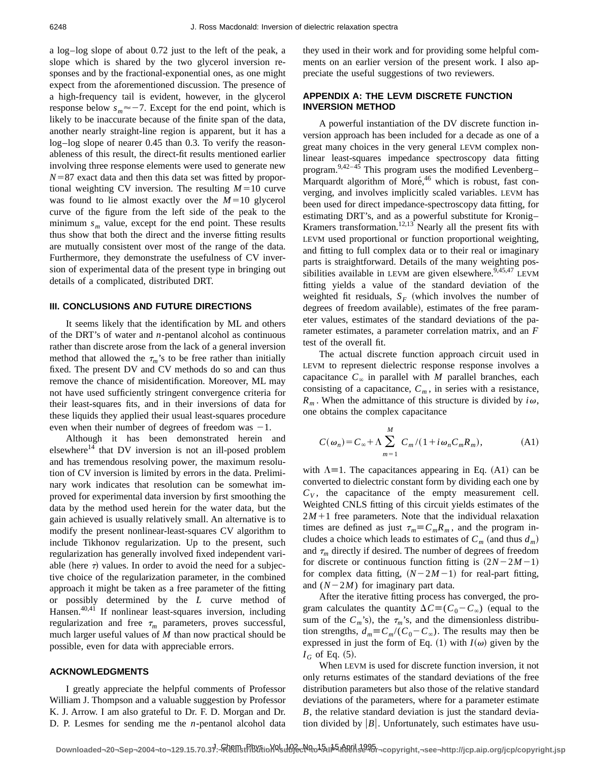a log–log slope of about 0.72 just to the left of the peak, a slope which is shared by the two glycerol inversion responses and by the fractional-exponential ones, as one might expect from the aforementioned discussion. The presence of a high-frequency tail is evident, however, in the glycerol response below  $s_m \approx -7$ . Except for the end point, which is likely to be inaccurate because of the finite span of the data, another nearly straight-line region is apparent, but it has a log–log slope of nearer 0.45 than 0.3. To verify the reasonableness of this result, the direct-fit results mentioned earlier involving three response elements were used to generate new  $N=87$  exact data and then this data set was fitted by proportional weighting CV inversion. The resulting  $M=10$  curve was found to lie almost exactly over the  $M=10$  glycerol curve of the figure from the left side of the peak to the minimum  $s_m$  value, except for the end point. These results thus show that both the direct and the inverse fitting results are mutually consistent over most of the range of the data. Furthermore, they demonstrate the usefulness of CV inversion of experimental data of the present type in bringing out details of a complicated, distributed DRT.

# **III. CONCLUSIONS AND FUTURE DIRECTIONS**

It seems likely that the identification by ML and others of the DRT's of water and *n*-pentanol alcohol as continuous rather than discrete arose from the lack of a general inversion method that allowed the  $\tau_m$ 's to be free rather than initially fixed. The present DV and CV methods do so and can thus remove the chance of misidentification. Moreover, ML may not have used sufficiently stringent convergence criteria for their least-squares fits, and in their inversions of data for these liquids they applied their usual least-squares procedure even when their number of degrees of freedom was  $-1$ .

Although it has been demonstrated herein and elsewhere<sup>14</sup> that DV inversion is not an ill-posed problem and has tremendous resolving power, the maximum resolution of CV inversion is limited by errors in the data. Preliminary work indicates that resolution can be somewhat improved for experimental data inversion by first smoothing the data by the method used herein for the water data, but the gain achieved is usually relatively small. An alternative is to modify the present nonlinear-least-squares CV algorithm to include Tikhonov regularization. Up to the present, such regularization has generally involved fixed independent variable (here  $\tau$ ) values. In order to avoid the need for a subjective choice of the regularization parameter, in the combined approach it might be taken as a free parameter of the fitting or possibly determined by the *L* curve method of Hansen.<sup>40,41</sup> If nonlinear least-squares inversion, including regularization and free  $\tau_m$  parameters, proves successful, much larger useful values of *M* than now practical should be possible, even for data with appreciable errors.

## **ACKNOWLEDGMENTS**

I greatly appreciate the helpful comments of Professor William J. Thompson and a valuable suggestion by Professor K. J. Arrow. I am also grateful to Dr. F. D. Morgan and Dr. D. P. Lesmes for sending me the *n*-pentanol alcohol data they used in their work and for providing some helpful comments on an earlier version of the present work. I also appreciate the useful suggestions of two reviewers.

## **APPENDIX A: THE LEVM DISCRETE FUNCTION INVERSION METHOD**

A powerful instantiation of the DV discrete function inversion approach has been included for a decade as one of a great many choices in the very general LEVM complex nonlinear least-squares impedance spectroscopy data fitting program. $9,42-45$  This program uses the modified Levenberg– Marquardt algorithm of Moré,<sup>46</sup> which is robust, fast converging, and involves implicitly scaled variables. LEVM has been used for direct impedance-spectroscopy data fitting, for estimating DRT's, and as a powerful substitute for Kronig– Kramers transformation.<sup>12,13</sup> Nearly all the present fits with LEVM used proportional or function proportional weighting, and fitting to full complex data or to their real or imaginary parts is straightforward. Details of the many weighting possibilities available in LEVM are given elsewhere.  $9,45,47$  LEVM fitting yields a value of the standard deviation of the weighted fit residuals,  $S_F$  (which involves the number of degrees of freedom available), estimates of the free parameter values, estimates of the standard deviations of the parameter estimates, a parameter correlation matrix, and an *F* test of the overall fit.

The actual discrete function approach circuit used in LEVM to represent dielectric response response involves a capacitance  $C_\infty$  in parallel with *M* parallel branches, each consisting of a capacitance,  $C_m$ , in series with a resistance,  $R_m$ . When the admittance of this structure is divided by  $i\omega$ , one obtains the complex capacitance

$$
C(\omega_n) = C_{\infty} + \Lambda \sum_{m=1}^{M} C_m / (1 + i\omega_n C_m R_m),
$$
 (A1)

with  $\Lambda$ =1. The capacitances appearing in Eq. (A1) can be converted to dielectric constant form by dividing each one by  $C_V$ , the capacitance of the empty measurement cell. Weighted CNLS fitting of this circuit yields estimates of the  $2M+1$  free parameters. Note that the individual relaxation times are defined as just  $\tau_m \equiv C_m R_m$ , and the program includes a choice which leads to estimates of  $C_m$  (and thus  $d_m$ ) and  $\tau_m$  directly if desired. The number of degrees of freedom for discrete or continuous function fitting is  $(2N-2M-1)$ for complex data fitting,  $(N-2M-1)$  for real-part fitting, and  $(N-2M)$  for imaginary part data.

After the iterative fitting process has converged, the program calculates the quantity  $\Delta C \equiv (C_0 - C_\infty)$  (equal to the sum of the  $C_m$ 's), the  $\tau_m$ 's, and the dimensionless distribution strengths,  $d_m \equiv C_m/(C_0 - C_\infty)$ . The results may then be expressed in just the form of Eq. (1) with  $I(\omega)$  given by the  $I_G$  of Eq.  $(5)$ .

When LEVM is used for discrete function inversion, it not only returns estimates of the standard deviations of the free distribution parameters but also those of the relative standard deviations of the parameters, where for a parameter estimate *B*, the relative standard deviation is just the standard deviation divided by  $|B|$ . Unfortunately, such estimates have usu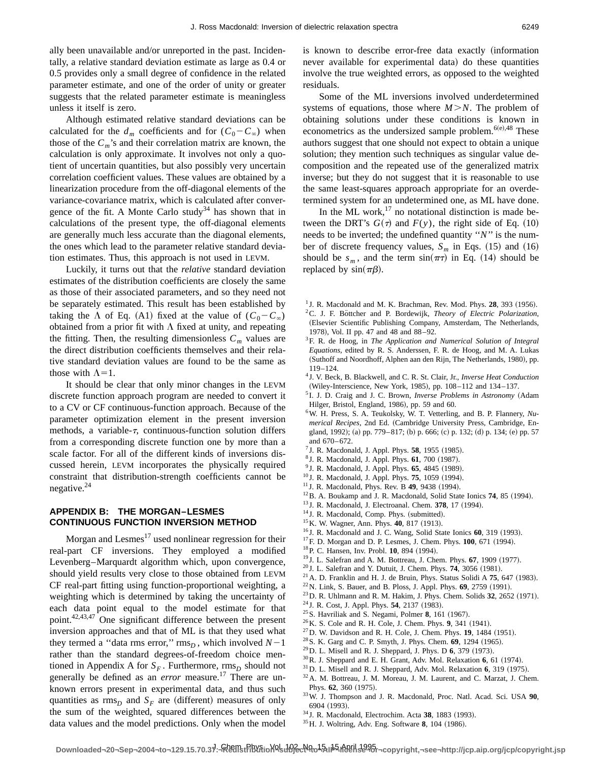ally been unavailable and/or unreported in the past. Incidentally, a relative standard deviation estimate as large as 0.4 or 0.5 provides only a small degree of confidence in the related parameter estimate, and one of the order of unity or greater suggests that the related parameter estimate is meaningless unless it itself is zero.

Although estimated relative standard deviations can be calculated for the  $d_m$  coefficients and for  $(C_0 - C_\infty)$  when those of the  $C_m$ 's and their correlation matrix are known, the calculation is only approximate. It involves not only a quotient of uncertain quantities, but also possibly very uncertain correlation coefficient values. These values are obtained by a linearization procedure from the off-diagonal elements of the variance-covariance matrix, which is calculated after convergence of the fit. A Monte Carlo study<sup>34</sup> has shown that in calculations of the present type, the off-diagonal elements are generally much less accurate than the diagonal elements, the ones which lead to the parameter relative standard deviation estimates. Thus, this approach is not used in LEVM.

Luckily, it turns out that the *relative* standard deviation estimates of the distribution coefficients are closely the same as those of their associated parameters, and so they need not be separately estimated. This result has been established by taking the  $\Lambda$  of Eq. (A1) fixed at the value of  $(C_0 - C_\infty)$ obtained from a prior fit with  $\Lambda$  fixed at unity, and repeating the fitting. Then, the resulting dimensionless  $C_m$  values are the direct distribution coefficients themselves and their relative standard deviation values are found to be the same as those with  $\Lambda$ =1.

It should be clear that only minor changes in the LEVM discrete function approach program are needed to convert it to a CV or CF continuous-function approach. Because of the parameter optimization element in the present inversion methods, a variable- $\tau$ , continuous-function solution differs from a corresponding discrete function one by more than a scale factor. For all of the different kinds of inversions discussed herein, LEVM incorporates the physically required constraint that distribution-strength coefficients cannot be negative. $24$ 

# **APPENDIX B: THE MORGAN–LESMES CONTINUOUS FUNCTION INVERSION METHOD**

Morgan and Lesmes $<sup>17</sup>$  used nonlinear regression for their</sup> real-part CF inversions. They employed a modified Levenberg–Marquardt algorithm which, upon convergence, should yield results very close to those obtained from LEVM CF real-part fitting using function-proportional weighting, a weighting which is determined by taking the uncertainty of each data point equal to the model estimate for that point.42,43,47 One significant difference between the present inversion approaches and that of ML is that they used what they termed a "data rms error,"  $\text{rms}_D$ , which involved  $N-1$ rather than the standard degrees-of-freedom choice mentioned in Appendix A for  $S_F$ . Furthermore,  $\text{rms}_D$  should not generally be defined as an *error* measure.<sup>17</sup> There are unknown errors present in experimental data, and thus such quantities as  $\text{rms}_D$  and  $S_F$  are (different) measures of only the sum of the weighted, squared differences between the data values and the model predictions. Only when the model is known to describe error-free data exactly (information never available for experimental data) do these quantities involve the true weighted errors, as opposed to the weighted residuals.

Some of the ML inversions involved underdetermined systems of equations, those where  $M > N$ . The problem of obtaining solutions under these conditions is known in econometrics as the undersized sample problem. $^{6(e),48}$  These authors suggest that one should not expect to obtain a unique solution; they mention such techniques as singular value decomposition and the repeated use of the generalized matrix inverse; but they do not suggest that it is reasonable to use the same least-squares approach appropriate for an overdetermined system for an undetermined one, as ML have done.

In the ML work, $17$  no notational distinction is made between the DRT's  $G(\tau)$  and  $F(y)$ , the right side of Eq. (10) needs to be inverted; the undefined quantity ''*N*'' is the number of discrete frequency values,  $S_m$  in Eqs. (15) and (16) should be  $s_m$ , and the term  $sin(\pi \tau)$  in Eq. (14) should be replaced by  $sin(\pi\beta)$ .

- $1$  J. R. Macdonald and M. K. Brachman, Rev. Mod. Phys. **28**, 393 (1956). <sup>2</sup>C. J. F. Böttcher and P. Bordewijk, *Theory of Electric Polarization*, (Elsevier Scientific Publishing Company, Amsterdam, The Netherlands, 1978), Vol. II pp. 47 and 48 and 88-92.
- 3F. R. de Hoog, in *The Application and Numerical Solution of Integral Equations*, edited by R. S. Anderssen, F. R. de Hoog, and M. A. Lukas (Suthoff and Noordhoff, Alphen aan den Rijn, The Netherlands, 1980), pp. 119–124.
- <sup>4</sup> J. V. Beck, B. Blackwell, and C. R. St. Clair, Jr., *Inverse Heat Conduction* (Wiley-Interscience, New York, 1985), pp. 108-112 and 134-137.
- <sup>5</sup> I. J. D. Craig and J. C. Brown, *Inverse Problems in Astronomy* (Adam Hilger, Bristol, England, 1986), pp. 59 and 60.
- 6W. H. Press, S. A. Teukolsky, W. T. Vetterling, and B. P. Flannery, *Numerical Recipes*, 2nd Ed. (Cambridge University Press, Cambridge, England, 1992); (a) pp. 779–817; (b) p. 666; (c) p. 132; (d) p. 134; (e) pp. 57 and 670– 672.
- <sup>7</sup> J. R. Macdonald, J. Appl. Phys. **58**, 1955 (1985).
- <sup>8</sup> J. R. Macdonald, J. Appl. Phys. **61**, 700 (1987).
- <sup>9</sup> J. R. Macdonald, J. Appl. Phys. **65**, 4845 (1989).
- <sup>10</sup> J. R. Macdonald, J. Appl. Phys. **75**, 1059 (1994).
- <sup>11</sup> J. R. Macdonald, Phys. Rev. B **49**, 9438 (1994).
- <sup>12</sup>B. A. Boukamp and J. R. Macdonald, Solid State Ionics **74**, 85 (1994).
- <sup>13</sup> J. R. Macdonald, J. Electroanal. Chem. **378**, 17 (1994).
- <sup>14</sup> J. R. Macdonald, Comp. Phys. (submitted).
- <sup>15</sup> K. W. Wagner, Ann. Phys. **40**, 817 (1913).
- <sup>16</sup> J. R. Macdonald and J. C. Wang, Solid State Ionics 60, 319 (1993).
- <sup>17</sup>F. D. Morgan and D. P. Lesmes, J. Chem. Phys. **100**, 671 (1994).
- <sup>18</sup> P. C. Hansen, Inv. Probl. **10**, 894 (1994).
- <sup>19</sup> J. L. Salefran and A. M. Bottreau, J. Chem. Phys. 67, 1909 (1977).
- $^{20}$  J. L. Salefran and Y. Dutuit, J. Chem. Phys. **74**, 3056 (1981).
- <sup>21</sup> A. D. Franklin and H. J. de Bruin, Phys. Status Solidi A  $75$ , 647 (1983).
- <sup>22</sup> N. Link, S. Bauer, and B. Ploss, J. Appl. Phys. **69**, 2759 (1991).
- $^{23}$  D. R. Uhlmann and R. M. Hakim, J. Phys. Chem. Solids **32**, 2652 (1971).
- <sup>24</sup> J. R. Cost, J. Appl. Phys. **54**, 2137 (1983).
- <sup>25</sup> S. Havriliak and S. Negami, Polmer 8, 161 (1967).
- <sup>26</sup> K. S. Cole and R. H. Cole, J. Chem. Phys. **9**, 341 (1941).
- $^{27}$ D. W. Davidson and R. H. Cole, J. Chem. Phys. **19**, 1484 (1951).
- <sup>28</sup> S. K. Garg and C. P. Smyth, J. Phys. Chem. **69**, 1294 (1965).
- <sup>29</sup> D. L. Misell and R. J. Sheppard, J. Phys. D **6**, 379 (1973).
- $30$  R. J. Sheppard and E. H. Grant, Adv. Mol. Relaxation 6, 61 (1974).
- <sup>31</sup> D. L. Misell and R. J. Sheppard, Adv. Mol. Relaxation 6, 319 (1975).
- 32A. M. Bottreau, J. M. Moreau, J. M. Laurent, and C. Marzat, J. Chem. Phys. 62, 360 (1975).
- 33W. J. Thompson and J. R. Macdonald, Proc. Natl. Acad. Sci. USA **90**, 6904 (1993).
- <sup>34</sup> J. R. Macdonald, Electrochim. Acta 38, 1883 (1993).
- <sup>35</sup> H. J. Woltring, Adv. Eng. Software 8, 104 (1986).